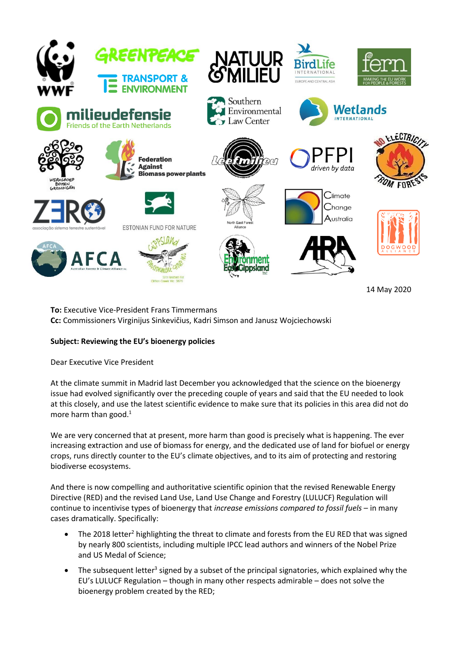

14 May 2020

**To:** Executive Vice-President Frans Timmermans **Cc:** Commissioners Virginijus Sinkevičius, Kadri Simson and Janusz Wojciechowski

## **Subject: Reviewing the EU's bioenergy policies**

Dear Executive Vice President

At the climate summit in Madrid last December you acknowledged that the science on the bioenergy issue had evolved significantly over the preceding couple of years and said that the EU needed to look at this closely, and use the latest scientific evidence to make sure that its policies in this area did not do more harm than good. $<sup>1</sup>$ </sup>

We are very concerned that at present, more harm than good is precisely what is happening. The ever increasing extraction and use of biomass for energy, and the dedicated use of land for biofuel or energy crops, runs directly counter to the EU's climate objectives, and to its aim of protecting and restoring biodiverse ecosystems.

And there is now compelling and authoritative scientific opinion that the revised Renewable Energy Directive (RED) and the revised Land Use, Land Use Change and Forestry (LULUCF) Regulation will continue to incentivise types of bioenergy that *increase emissions compared to fossil fuels* – in many cases dramatically. Specifically:

- The 2018 letter<sup>2</sup> highlighting the threat to climate and forests from the EU RED that was signed by nearly 800 scientists, including multiple IPCC lead authors and winners of the Nobel Prize and US Medal of Science;
- $\bullet$  The subsequent letter<sup>3</sup> signed by a subset of the principal signatories, which explained why the EU's LULUCF Regulation – though in many other respects admirable – does not solve the bioenergy problem created by the RED;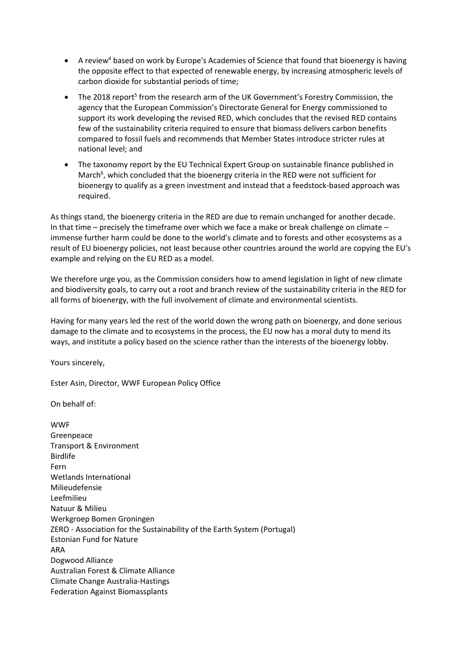- $\bullet$  A review<sup>4</sup> based on work by Europe's Academies of Science that found that bioenergy is having the opposite effect to that expected of renewable energy, by increasing atmospheric levels of carbon dioxide for substantial periods of time;
- The 2018 report<sup>5</sup> from the research arm of the UK Government's Forestry Commission, the agency that the European Commission's Directorate General for Energy commissioned to support its work developing the revised RED, which concludes that the revised RED contains few of the sustainability criteria required to ensure that biomass delivers carbon benefits compared to fossil fuels and recommends that Member States introduce stricter rules at national level; and
- The taxonomy report by the EU Technical Expert Group on sustainable finance published in March<sup>6</sup>, which concluded that the bioenergy criteria in the RED were not sufficient for bioenergy to qualify as a green investment and instead that a feedstock-based approach was required.

As things stand, the bioenergy criteria in the RED are due to remain unchanged for another decade. In that time – precisely the timeframe over which we face a make or break challenge on climate – immense further harm could be done to the world's climate and to forests and other ecosystems as a result of EU bioenergy policies, not least because other countries around the world are copying the EU's example and relying on the EU RED as a model.

We therefore urge you, as the Commission considers how to amend legislation in light of new climate and biodiversity goals, to carry out a root and branch review of the sustainability criteria in the RED for all forms of bioenergy, with the full involvement of climate and environmental scientists.

Having for many years led the rest of the world down the wrong path on bioenergy, and done serious damage to the climate and to ecosystems in the process, the EU now has a moral duty to mend its ways, and institute a policy based on the science rather than the interests of the bioenergy lobby.

Yours sincerely,

Ester Asin, Director, WWF European Policy Office

On behalf of:

WWF Greenpeace Transport & Environment Birdlife Fern Wetlands International Milieudefensie Leefmilieu Natuur & Milieu Werkgroep Bomen Groningen ZERO - Association for the Sustainability of the Earth System (Portugal) Estonian Fund for Nature ARA Dogwood Alliance Australian Forest & Climate Alliance Climate Change Australia-Hastings Federation Against Biomassplants